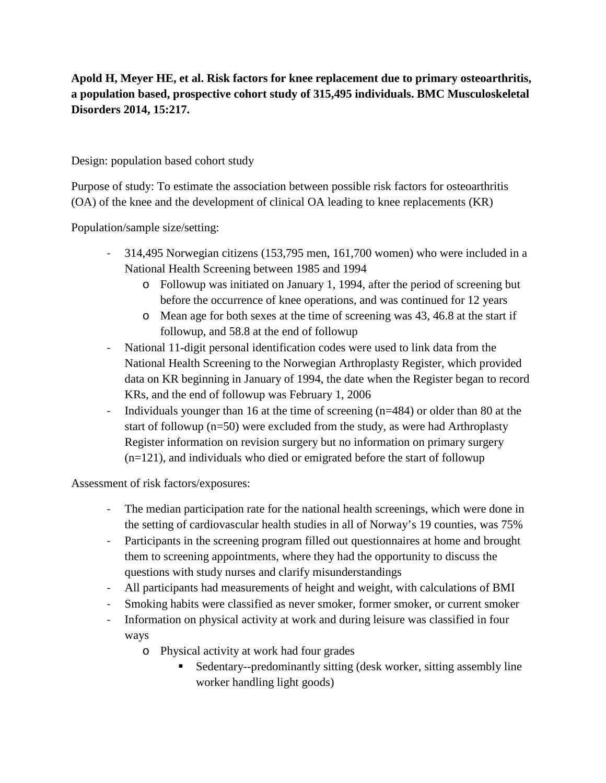**Apold H, Meyer HE, et al. Risk factors for knee replacement due to primary osteoarthritis, a population based, prospective cohort study of 315,495 individuals. BMC Musculoskeletal Disorders 2014, 15:217.**

Design: population based cohort study

Purpose of study: To estimate the association between possible risk factors for osteoarthritis (OA) of the knee and the development of clinical OA leading to knee replacements (KR)

Population/sample size/setting:

- 314,495 Norwegian citizens (153,795 men, 161,700 women) who were included in a National Health Screening between 1985 and 1994
	- o Followup was initiated on January 1, 1994, after the period of screening but before the occurrence of knee operations, and was continued for 12 years
	- o Mean age for both sexes at the time of screening was 43, 46.8 at the start if followup, and 58.8 at the end of followup
- National 11-digit personal identification codes were used to link data from the National Health Screening to the Norwegian Arthroplasty Register, which provided data on KR beginning in January of 1994, the date when the Register began to record KRs, and the end of followup was February 1, 2006
- Individuals younger than 16 at the time of screening (n=484) or older than 80 at the start of followup (n=50) were excluded from the study, as were had Arthroplasty Register information on revision surgery but no information on primary surgery (n=121), and individuals who died or emigrated before the start of followup

Assessment of risk factors/exposures:

- The median participation rate for the national health screenings, which were done in the setting of cardiovascular health studies in all of Norway's 19 counties, was 75%
- Participants in the screening program filled out questionnaires at home and brought them to screening appointments, where they had the opportunity to discuss the questions with study nurses and clarify misunderstandings
- All participants had measurements of height and weight, with calculations of BMI
- Smoking habits were classified as never smoker, former smoker, or current smoker
- Information on physical activity at work and during leisure was classified in four ways
	- o Physical activity at work had four grades
		- Sedentary--predominantly sitting (desk worker, sitting assembly line worker handling light goods)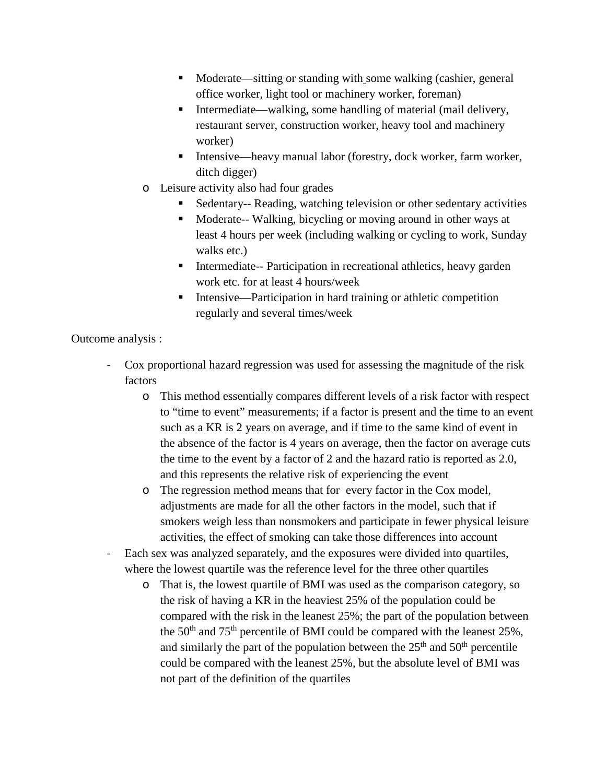- Moderate—sitting or standing with some walking (cashier, general office worker, light tool or machinery worker, foreman)
- Intermediate—walking, some handling of material (mail delivery, restaurant server, construction worker, heavy tool and machinery worker)
- Intensive—heavy manual labor (forestry, dock worker, farm worker, ditch digger)
- o Leisure activity also had four grades
	- Sedentary-- Reading, watching television or other sedentary activities
	- **Moderate-- Walking, bicycling or moving around in other ways at** least 4 hours per week (including walking or cycling to work, Sunday walks etc.)
	- **Intermediate-- Participation in recreational athletics, heavy garden** work etc. for at least 4 hours/week
	- Intensive—Participation in hard training or athletic competition regularly and several times/week

Outcome analysis :

- Cox proportional hazard regression was used for assessing the magnitude of the risk factors
	- o This method essentially compares different levels of a risk factor with respect to "time to event" measurements; if a factor is present and the time to an event such as a KR is 2 years on average, and if time to the same kind of event in the absence of the factor is 4 years on average, then the factor on average cuts the time to the event by a factor of 2 and the hazard ratio is reported as 2.0, and this represents the relative risk of experiencing the event
	- o The regression method means that for every factor in the Cox model, adjustments are made for all the other factors in the model, such that if smokers weigh less than nonsmokers and participate in fewer physical leisure activities, the effect of smoking can take those differences into account
- Each sex was analyzed separately, and the exposures were divided into quartiles, where the lowest quartile was the reference level for the three other quartiles
	- o That is, the lowest quartile of BMI was used as the comparison category, so the risk of having a KR in the heaviest 25% of the population could be compared with the risk in the leanest 25%; the part of the population between the  $50<sup>th</sup>$  and  $75<sup>th</sup>$  percentile of BMI could be compared with the leanest  $25%$ , and similarly the part of the population between the  $25<sup>th</sup>$  and  $50<sup>th</sup>$  percentile could be compared with the leanest 25%, but the absolute level of BMI was not part of the definition of the quartiles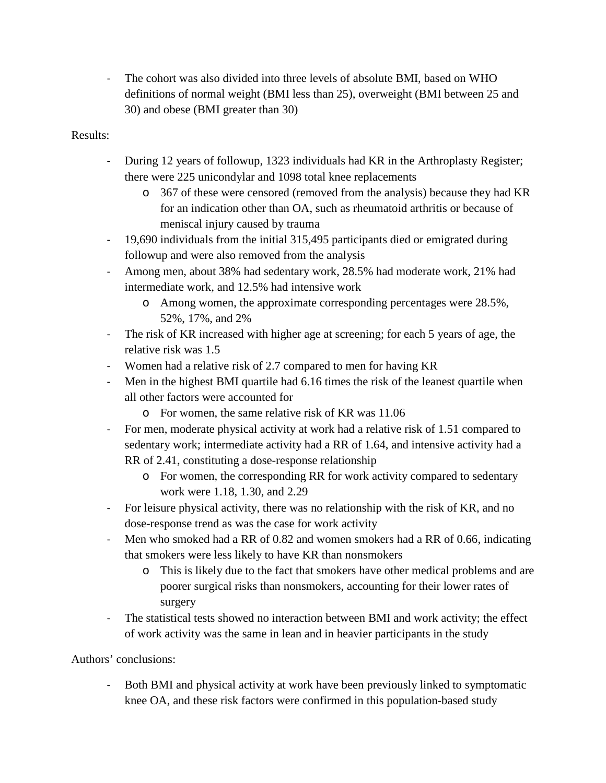- The cohort was also divided into three levels of absolute BMI, based on WHO definitions of normal weight (BMI less than 25), overweight (BMI between 25 and 30) and obese (BMI greater than 30)

## Results:

- During 12 years of followup, 1323 individuals had KR in the Arthroplasty Register; there were 225 unicondylar and 1098 total knee replacements
	- o 367 of these were censored (removed from the analysis) because they had KR for an indication other than OA, such as rheumatoid arthritis or because of meniscal injury caused by trauma
- 19,690 individuals from the initial 315,495 participants died or emigrated during followup and were also removed from the analysis
- Among men, about 38% had sedentary work, 28.5% had moderate work, 21% had intermediate work, and 12.5% had intensive work
	- o Among women, the approximate corresponding percentages were 28.5%, 52%, 17%, and 2%
- The risk of KR increased with higher age at screening; for each 5 years of age, the relative risk was 1.5
- Women had a relative risk of 2.7 compared to men for having KR
- Men in the highest BMI quartile had 6.16 times the risk of the leanest quartile when all other factors were accounted for
	- o For women, the same relative risk of KR was 11.06
- For men, moderate physical activity at work had a relative risk of 1.51 compared to sedentary work; intermediate activity had a RR of 1.64, and intensive activity had a RR of 2.41, constituting a dose-response relationship
	- o For women, the corresponding RR for work activity compared to sedentary work were 1.18, 1.30, and 2.29
- For leisure physical activity, there was no relationship with the risk of KR, and no dose-response trend as was the case for work activity
- Men who smoked had a RR of 0.82 and women smokers had a RR of 0.66, indicating that smokers were less likely to have KR than nonsmokers
	- o This is likely due to the fact that smokers have other medical problems and are poorer surgical risks than nonsmokers, accounting for their lower rates of surgery
- The statistical tests showed no interaction between BMI and work activity; the effect of work activity was the same in lean and in heavier participants in the study

Authors' conclusions:

- Both BMI and physical activity at work have been previously linked to symptomatic knee OA, and these risk factors were confirmed in this population-based study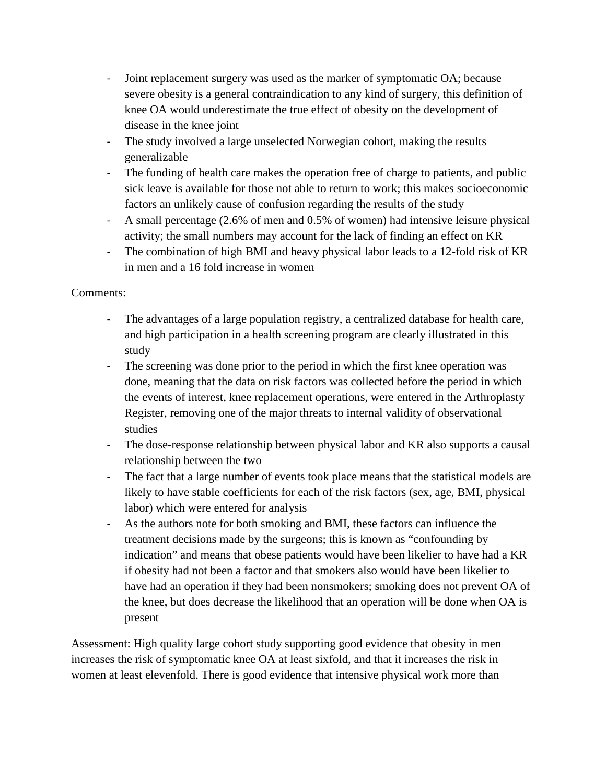- Joint replacement surgery was used as the marker of symptomatic OA; because severe obesity is a general contraindication to any kind of surgery, this definition of knee OA would underestimate the true effect of obesity on the development of disease in the knee joint
- The study involved a large unselected Norwegian cohort, making the results generalizable
- The funding of health care makes the operation free of charge to patients, and public sick leave is available for those not able to return to work; this makes socioeconomic factors an unlikely cause of confusion regarding the results of the study
- A small percentage (2.6% of men and 0.5% of women) had intensive leisure physical activity; the small numbers may account for the lack of finding an effect on KR
- The combination of high BMI and heavy physical labor leads to a 12-fold risk of KR in men and a 16 fold increase in women

## Comments:

- The advantages of a large population registry, a centralized database for health care, and high participation in a health screening program are clearly illustrated in this study
- The screening was done prior to the period in which the first knee operation was done, meaning that the data on risk factors was collected before the period in which the events of interest, knee replacement operations, were entered in the Arthroplasty Register, removing one of the major threats to internal validity of observational studies
- The dose-response relationship between physical labor and KR also supports a causal relationship between the two
- The fact that a large number of events took place means that the statistical models are likely to have stable coefficients for each of the risk factors (sex, age, BMI, physical labor) which were entered for analysis
- As the authors note for both smoking and BMI, these factors can influence the treatment decisions made by the surgeons; this is known as "confounding by indication" and means that obese patients would have been likelier to have had a KR if obesity had not been a factor and that smokers also would have been likelier to have had an operation if they had been nonsmokers; smoking does not prevent OA of the knee, but does decrease the likelihood that an operation will be done when OA is present

Assessment: High quality large cohort study supporting good evidence that obesity in men increases the risk of symptomatic knee OA at least sixfold, and that it increases the risk in women at least elevenfold. There is good evidence that intensive physical work more than